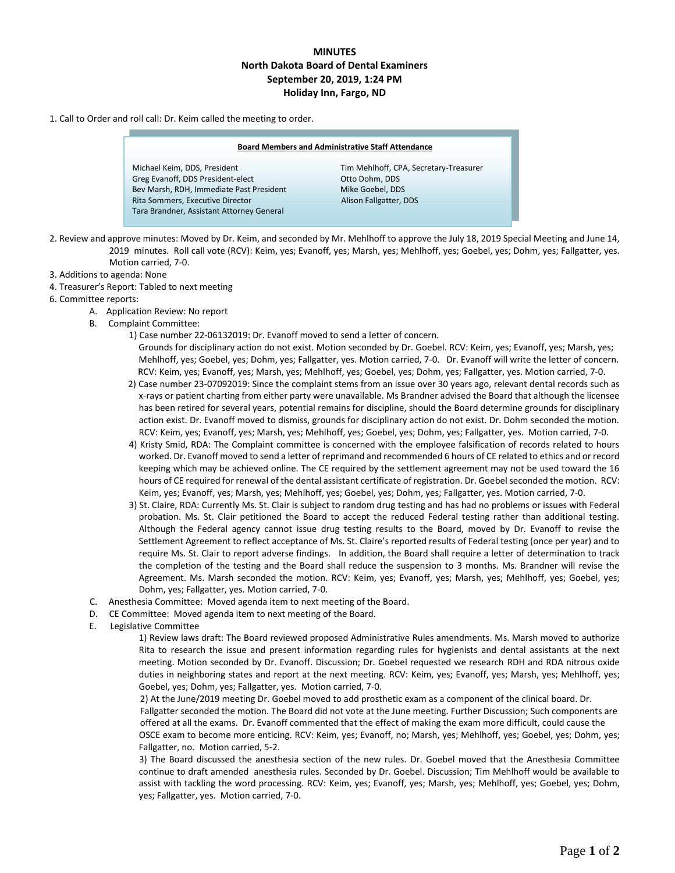## **MINUTES North Dakota Board of Dental Examiners September 20, 2019, 1:24 PM Holiday Inn, Fargo, ND**

## 1. Call to Order and roll call: Dr. Keim called the meeting to order.

| <b>Board Members and Administrative Staff Attendance</b> |                                        |
|----------------------------------------------------------|----------------------------------------|
| Michael Keim, DDS, President                             | Tim Mehlhoff, CPA, Secretary-Treasurer |
| Greg Evanoff, DDS President-elect                        | Otto Dohm, DDS                         |
| Bev Marsh, RDH, Immediate Past President                 | Mike Goebel, DDS                       |
| Rita Sommers, Executive Director                         | Alison Fallgatter, DDS                 |
| Tara Brandner, Assistant Attorney General                |                                        |
|                                                          |                                        |
|                                                          |                                        |

- 2. Review and approve minutes: Moved by Dr. Keim, and seconded by Mr. Mehlhoff to approve the July 18, 2019 Special Meeting and June 14, 2019 minutes. Roll call vote (RCV): Keim, yes; Evanoff, yes; Marsh, yes; Mehlhoff, yes; Goebel, yes; Dohm, yes; Fallgatter, yes. Motion carried, 7-0.
- 3. Additions to agenda: None
- 4. Treasurer's Report: Tabled to next meeting
- 6. Committee reports:
	- A. Application Review: No report
	- B. Complaint Committee:
		- 1) Case number 22-06132019: Dr. Evanoff moved to send a letter of concern.
			- Grounds for disciplinary action do not exist. Motion seconded by Dr. Goebel. RCV: Keim, yes; Evanoff, yes; Marsh, yes; Mehlhoff, yes; Goebel, yes; Dohm, yes; Fallgatter, yes. Motion carried, 7-0. Dr. Evanoff will write the letter of concern. RCV: Keim, yes; Evanoff, yes; Marsh, yes; Mehlhoff, yes; Goebel, yes; Dohm, yes; Fallgatter, yes. Motion carried, 7-0.
		- 2) Case number 23-07092019: Since the complaint stems from an issue over 30 years ago, relevant dental records such as x-rays or patient charting from either party were unavailable. Ms Brandner advised the Board that although the licensee has been retired for several years, potential remains for discipline, should the Board determine grounds for disciplinary action exist. Dr. Evanoff moved to dismiss, grounds for disciplinary action do not exist. Dr. Dohm seconded the motion. RCV: Keim, yes; Evanoff, yes; Marsh, yes; Mehlhoff, yes; Goebel, yes; Dohm, yes; Fallgatter, yes. Motion carried, 7-0.
		- 4) Kristy Smid, RDA: The Complaint committee is concerned with the employee falsification of records related to hours worked. Dr. Evanoff moved to send a letter of reprimand and recommended 6 hours of CE related to ethics and or record keeping which may be achieved online. The CE required by the settlement agreement may not be used toward the 16 hours of CE required for renewal of the dental assistant certificate of registration. Dr. Goebel seconded the motion. RCV: Keim, yes; Evanoff, yes; Marsh, yes; Mehlhoff, yes; Goebel, yes; Dohm, yes; Fallgatter, yes. Motion carried, 7-0.
		- 3) St. Claire, RDA: Currently Ms. St. Clair is subject to random drug testing and has had no problems or issues with Federal probation. Ms. St. Clair petitioned the Board to accept the reduced Federal testing rather than additional testing. Although the Federal agency cannot issue drug testing results to the Board, moved by Dr. Evanoff to revise the Settlement Agreement to reflect acceptance of Ms. St. Claire's reported results of Federal testing (once per year) and to require Ms. St. Clair to report adverse findings. In addition, the Board shall require a letter of determination to track the completion of the testing and the Board shall reduce the suspension to 3 months. Ms. Brandner will revise the Agreement. Ms. Marsh seconded the motion. RCV: Keim, yes; Evanoff, yes; Marsh, yes; Mehlhoff, yes; Goebel, yes; Dohm, yes; Fallgatter, yes. Motion carried, 7-0.
	- C. Anesthesia Committee: Moved agenda item to next meeting of the Board.
	- D. CE Committee: Moved agenda item to next meeting of the Board.
	- E. Legislative Committee

1) Review laws draft: The Board reviewed proposed Administrative Rules amendments. Ms. Marsh moved to authorize Rita to research the issue and present information regarding rules for hygienists and dental assistants at the next meeting. Motion seconded by Dr. Evanoff. Discussion; Dr. Goebel requested we research RDH and RDA nitrous oxide duties in neighboring states and report at the next meeting. RCV: Keim, yes; Evanoff, yes; Marsh, yes; Mehlhoff, yes; Goebel, yes; Dohm, yes; Fallgatter, yes. Motion carried, 7-0.

 2) At the June/2019 meeting Dr. Goebel moved to add prosthetic exam as a component of the clinical board. Dr. Fallgatter seconded the motion. The Board did not vote at the June meeting. Further Discussion; Such components are offered at all the exams. Dr. Evanoff commented that the effect of making the exam more difficult, could cause the OSCE exam to become more enticing. RCV: Keim, yes; Evanoff, no; Marsh, yes; Mehlhoff, yes; Goebel, yes; Dohm, yes; Fallgatter, no. Motion carried, 5-2.

 3) The Board discussed the anesthesia section of the new rules. Dr. Goebel moved that the Anesthesia Committee continue to draft amended anesthesia rules. Seconded by Dr. Goebel. Discussion; Tim Mehlhoff would be available to assist with tackling the word processing. RCV: Keim, yes; Evanoff, yes; Marsh, yes; Mehlhoff, yes; Goebel, yes; Dohm, yes; Fallgatter, yes. Motion carried, 7-0.